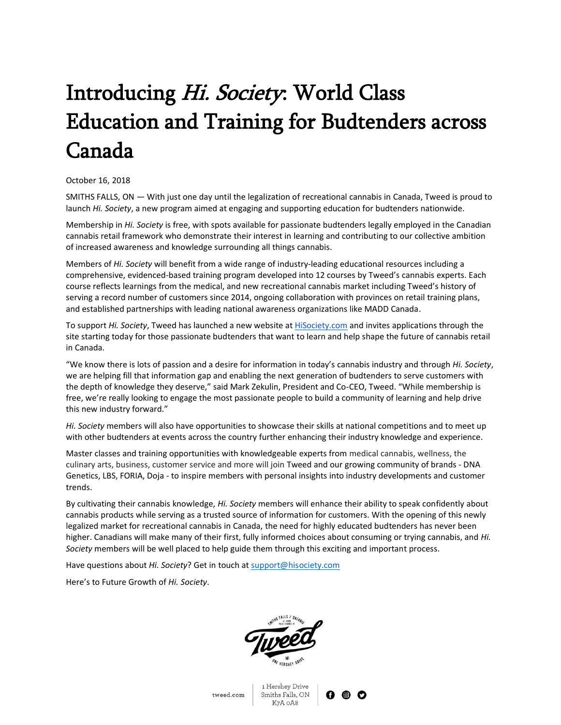## Introducing *Hi. Society*: World Class Education and Training for Budtenders across Canada

October 16, 2018

SMITHS FALLS, ON — With just one day until the legalization of recreational cannabis in Canada, Tweed is proud to launch *Hi. Society*, a new program aimed at engaging and supporting education for budtenders nationwide.

Membership in *Hi. Society* is free, with spots available for passionate budtenders legally employed in the Canadian cannabis retail framework who demonstrate their interest in learning and contributing to our collective ambition of increased awareness and knowledge surrounding all things cannabis.

Members of *Hi. Society* will benefit from a wide range of industry-leading educational resources including a comprehensive, evidenced-based training program developed into 12 courses by Tweed's cannabis experts. Each course reflects learnings from the medical, and new recreational cannabis market including Tweed's history of serving a record number of customers since 2014, ongoing collaboration with provinces on retail training plans, and established partnerships with leading national awareness organizations like MADD Canada.

To support *Hi. Society*, Tweed has launched a new website at [HiSociety.com](http://www.hisociety.com/) and invites applications through the site starting today for those passionate budtenders that want to learn and help shape the future of cannabis retail in Canada.

"We know there is lots of passion and a desire for information in today's cannabis industry and through *Hi. Society*, we are helping fill that information gap and enabling the next generation of budtenders to serve customers with the depth of knowledge they deserve," said Mark Zekulin, President and Co-CEO, Tweed. "While membership is free, we're really looking to engage the most passionate people to build a community of learning and help drive this new industry forward."

*Hi. Society* members will also have opportunities to showcase their skills at national competitions and to meet up with other budtenders at events across the country further enhancing their industry knowledge and experience.

Master classes and training opportunities with knowledgeable experts from medical cannabis, wellness, the culinary arts, business, customer service and more will join Tweed and our growing community of brands - DNA Genetics, LBS, FORIA, Doja - to inspire members with personal insights into industry developments and customer trends.

By cultivating their cannabis knowledge, *Hi. Society* members will enhance their ability to speak confidently about cannabis products while serving as a trusted source of information for customers. With the opening of this newly legalized market for recreational cannabis in Canada, the need for highly educated budtenders has never been higher. Canadians will make many of their first, fully informed choices about consuming or trying cannabis, and *Hi. Society* members will be well placed to help guide them through this exciting and important process.

Have questions about *Hi. Society*? Get in touch at [support@hisociety.com](mailto:support@hisociety.com)

Here's to Future Growth of *Hi. Society*.